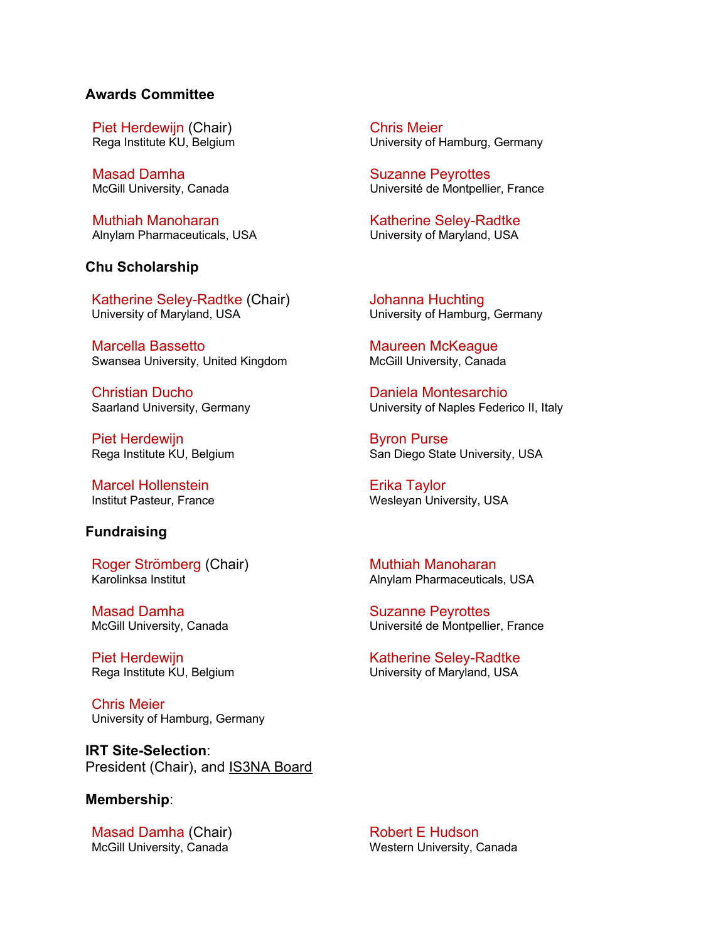## **Awards Committee**

Piet Herdewijn (Chair) Rega Institute KU, Belgium

Masad Damha McGill University, Canada

Muthiah Manoharan Alnylam Pharmaceuticals, USA

## **Chu Scholarship**

Katherine Seley-Radtke (Chair) University of Maryland, USA

Marcella Bassetto Swansea University, United Kingdom

Christian Ducho Saarland University, Germany

Piet Herdewijn Rega Institute KU, Belgium

Marcel Hollenstein Institut Pasteur, France

## **Fundraising**

Roger Strömberg (Chair) Karolinksa Institut

Masad Damha McGill University, Canada

Piet Herdewijn Rega Institute KU, Belgium

Chris Meier University of Hamburg, Germany

**IRT Site-Selection**: President (Chair), and IS3NA Board

#### **Membership**:

Masad Damha (Chair) McGill University, Canada

Chris Meier University of Hamburg, Germany

Suzanne Peyrottes Université de Montpellier, France

Katherine Seley-Radtke University of Maryland, USA

Johanna Huchting University of Hamburg, Germany

Maureen McKeague McGill University, Canada

Daniela Montesarchio University of Naples Federico II, Italy

Byron Purse San Diego State University, USA

Erika Taylor Wesleyan University, USA

Muthiah Manoharan Alnylam Pharmaceuticals, USA

Suzanne Peyrottes Université de Montpellier, France

Katherine Seley-Radtke University of Maryland, USA

Robert E Hudson Western University, Canada